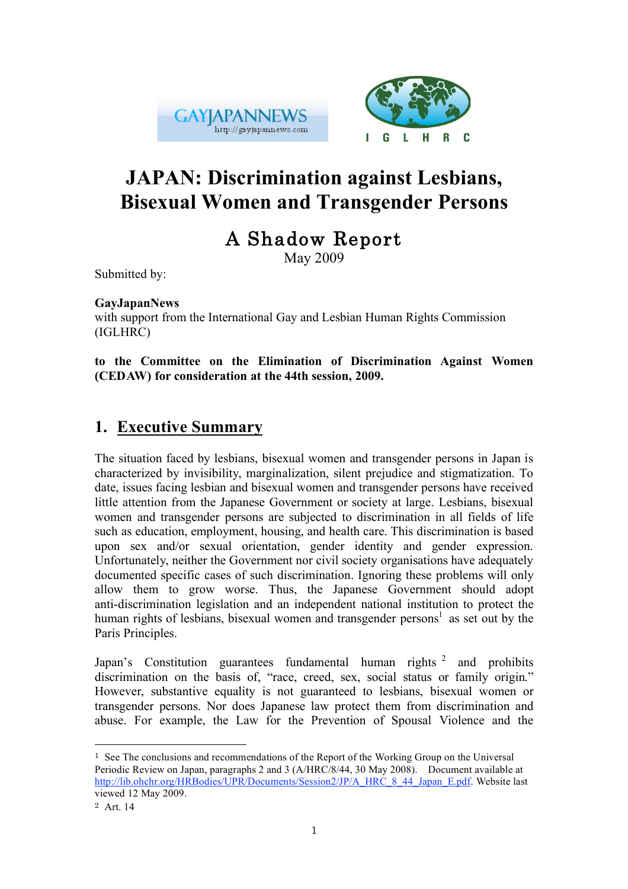



# **JAPAN: Discrimination against Lesbians, Bisexual Women and Transgender Persons**

# A Shadow Report

May 2009

Submitted by:

#### **GayJapanNews**

with support from the International Gay and Lesbian Human Rights Commission (IGLHRC)

**to the Committee on the Elimination of Discrimination Against Women (CEDAW) for consideration at the 44th session, 2009.**

## **1. Executive Summary**

The situation faced by lesbians, bisexual women and transgender persons in Japan is characterized by invisibility, marginalization, silent prejudice and stigmatization. To date, issues facing lesbian and bisexual women and transgender persons have received little attention from the Japanese Government or society at large. Lesbians, bisexual women and transgender persons are subjected to discrimination in all fields of life such as education, employment, housing, and health care. This discrimination is based upon sex and/or sexual orientation, gender identity and gender expression. Unfortunately, neither the Government nor civil society organisations have adequately documented specific cases of such discrimination. Ignoring these problems will only allow them to grow worse. Thus, the Japanese Government should adopt anti-discrimination legislation and an independent national institution to protect the human rights of lesbians, bisexual women and transgender persons<sup>1</sup> as set out by the Paris Principles.

Japan's Constitution guarantees fundamental human rights  $2$  and prohibits discrimination on the basis of, "race, creed, sex, social status or family origin." However, substantive equality is not guaranteed to lesbians, bisexual women or transgender persons. Nor does Japanese law protect them from discrimination and abuse. For example, the Law for the Prevention of Spousal Violence and the

 $<sup>1</sup>$  See The conclusions and recommendations of the Report of the Working Group on the Universal</sup> Periodic Review on Japan, paragraphs 2 and 3 (A/HRC/8/44, 30 May 2008). Document available at http://lib.ohchr.org/HRBodies/UPR/Documents/Session2/JP/A\_HRC\_8\_44\_Japan\_E.pdf. Website last viewed 12 May 2009.

<sup>2</sup> Art. 14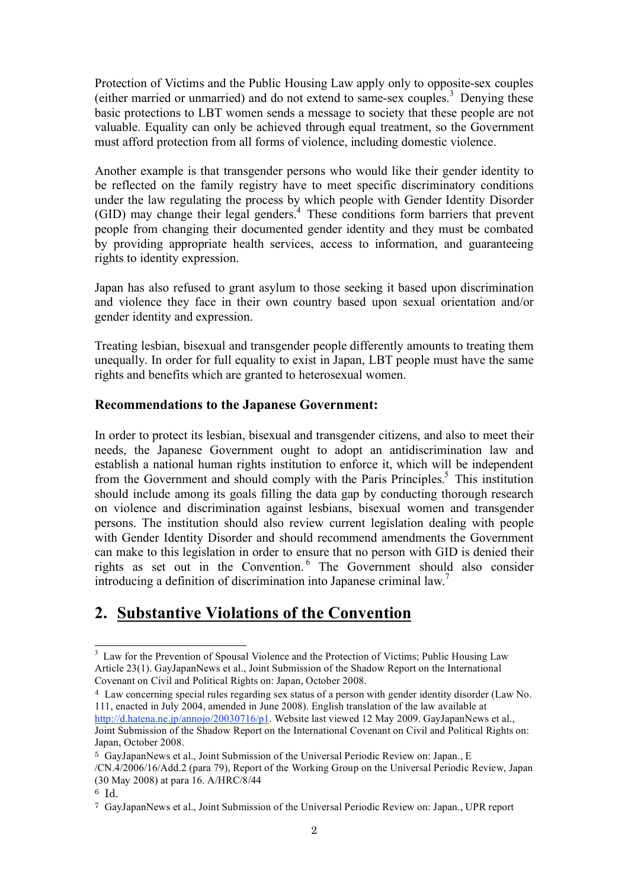Protection of Victims and the Public Housing Law apply only to opposite-sex couples (either married or unmarried) and do not extend to same-sex couples.<sup>3</sup> Denying these basic protections to LBT women sends a message to society that these people are not valuable. Equality can only be achieved through equal treatment, so the Government must afford protection from all forms of violence, including domestic violence.

Another example is that transgender persons who would like their gender identity to be reflected on the family registry have to meet specific discriminatory conditions under the law regulating the process by which people with Gender Identity Disorder (GID) may change their legal genders.4 These conditions form barriers that prevent people from changing their documented gender identity and they must be combated by providing appropriate health services, access to information, and guaranteeing rights to identity expression.

Japan has also refused to grant asylum to those seeking it based upon discrimination and violence they face in their own country based upon sexual orientation and/or gender identity and expression.

Treating lesbian, bisexual and transgender people differently amounts to treating them unequally. In order for full equality to exist in Japan, LBT people must have the same rights and benefits which are granted to heterosexual women.

#### **Recommendations to the Japanese Government:**

In order to protect its lesbian, bisexual and transgender citizens, and also to meet their needs, the Japanese Government ought to adopt an antidiscrimination law and establish a national human rights institution to enforce it, which will be independent from the Government and should comply with the Paris Principles.<sup>5</sup> This institution should include among its goals filling the data gap by conducting thorough research on violence and discrimination against lesbians, bisexual women and transgender persons. The institution should also review current legislation dealing with people with Gender Identity Disorder and should recommend amendments the Government can make to this legislation in order to ensure that no person with GID is denied their rights as set out in the Convention. 6 The Government should also consider introducing a definition of discrimination into Japanese criminal law.<sup>7</sup>

## **2. Substantive Violations of the Convention**

3 <sup>3</sup> Law for the Prevention of Spousal Violence and the Protection of Victims; Public Housing Law Article 23(1). GayJapanNews et al., Joint Submission of the Shadow Report on the International Covenant on Civil and Political Rights on: Japan, October 2008.

<sup>4</sup> Law concerning special rules regarding sex status of a person with gender identity disorder (Law No. 111, enacted in July 2004, amended in June 2008). English translation of the law available at http://d.hatena.ne.jp/annojo/20030716/p1. Website last viewed 12 May 2009. GayJapanNews et al., Joint Submission of the Shadow Report on the International Covenant on Civil and Political Rights on: Japan, October 2008.

<sup>5</sup> GayJapanNews et al., Joint Submission of the Universal Periodic Review on: Japan., E /CN.4/2006/16/Add.2 (para 79), Report of the Working Group on the Universal Periodic Review, Japan (30 May 2008) at para 16. A/HRC/8/44

<sup>6</sup> Id.

<sup>7</sup> GayJapanNews et al., Joint Submission of the Universal Periodic Review on: Japan., UPR report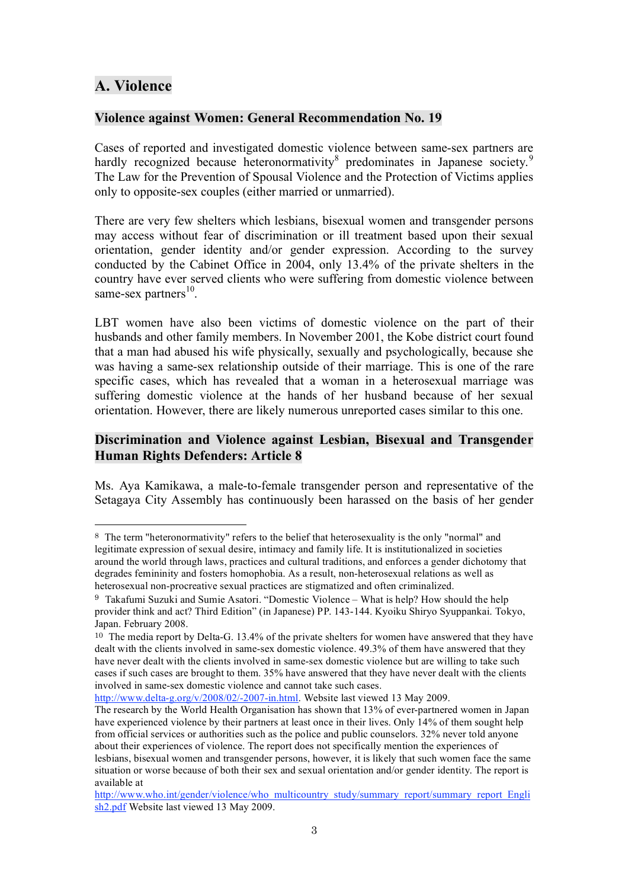### **A. Violence**

l

#### **Violence against Women: General Recommendation No. 19**

Cases of reported and investigated domestic violence between same-sex partners are hardly recognized because heteronormativity<sup>8</sup> predominates in Japanese society.<sup>9</sup> The Law for the Prevention of Spousal Violence and the Protection of Victims applies only to opposite-sex couples (either married or unmarried).

There are very few shelters which lesbians, bisexual women and transgender persons may access without fear of discrimination or ill treatment based upon their sexual orientation, gender identity and/or gender expression. According to the survey conducted by the Cabinet Office in 2004, only 13.4% of the private shelters in the country have ever served clients who were suffering from domestic violence between same-sex partners $^{10}$ .

LBT women have also been victims of domestic violence on the part of their husbands and other family members. In November 2001, the Kobe district court found that a man had abused his wife physically, sexually and psychologically, because she was having a same-sex relationship outside of their marriage. This is one of the rare specific cases, which has revealed that a woman in a heterosexual marriage was suffering domestic violence at the hands of her husband because of her sexual orientation. However, there are likely numerous unreported cases similar to this one.

#### **Discrimination and Violence against Lesbian, Bisexual and Transgender Human Rights Defenders: Article 8**

Ms. Aya Kamikawa, a male-to-female transgender person and representative of the Setagaya City Assembly has continuously been harassed on the basis of her gender

http://www.delta-g.org/v/2008/02/-2007-in.html. Website last viewed 13 May 2009.

<sup>8</sup> The term "heteronormativity" refers to the belief that heterosexuality is the only "normal" and legitimate expression of sexual desire, intimacy and family life. It is institutionalized in societies around the world through laws, practices and cultural traditions, and enforces a gender dichotomy that degrades femininity and fosters homophobia. As a result, non-heterosexual relations as well as heterosexual non-procreative sexual practices are stigmatized and often criminalized.

<sup>9</sup> Takafumi Suzuki and Sumie Asatori. "Domestic Violence – What is help? How should the help provider think and act? Third Edition" (in Japanese) PP. 143-144. Kyoiku Shiryo Syuppankai. Tokyo, Japan. February 2008.

<sup>10</sup> The media report by Delta-G. 13.4% of the private shelters for women have answered that they have dealt with the clients involved in same-sex domestic violence. 49.3% of them have answered that they have never dealt with the clients involved in same-sex domestic violence but are willing to take such cases if such cases are brought to them. 35% have answered that they have never dealt with the clients involved in same-sex domestic violence and cannot take such cases.

The research by the World Health Organisation has shown that 13% of ever-partnered women in Japan have experienced violence by their partners at least once in their lives. Only 14% of them sought help from official services or authorities such as the police and public counselors. 32% never told anyone about their experiences of violence. The report does not specifically mention the experiences of lesbians, bisexual women and transgender persons, however, it is likely that such women face the same situation or worse because of both their sex and sexual orientation and/or gender identity. The report is available at

http://www.who.int/gender/violence/who\_multicountry\_study/summary\_report/summary\_report\_Engli sh2.pdf Website last viewed 13 May 2009.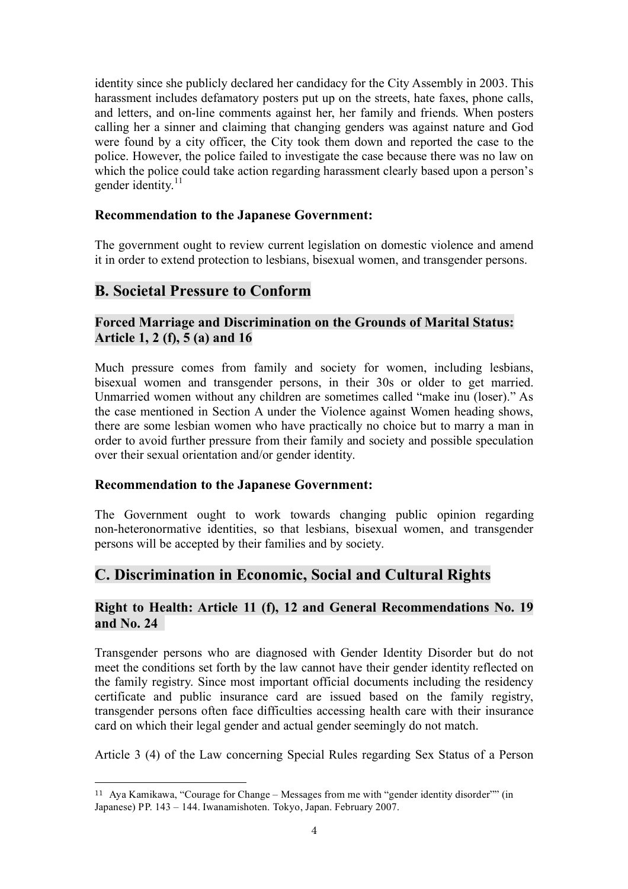identity since she publicly declared her candidacy for the City Assembly in 2003. This harassment includes defamatory posters put up on the streets, hate faxes, phone calls, and letters, and on-line comments against her, her family and friends. When posters calling her a sinner and claiming that changing genders was against nature and God were found by a city officer, the City took them down and reported the case to the police. However, the police failed to investigate the case because there was no law on which the police could take action regarding harassment clearly based upon a person's gender identity.<sup>11</sup>

#### **Recommendation to the Japanese Government:**

The government ought to review current legislation on domestic violence and amend it in order to extend protection to lesbians, bisexual women, and transgender persons.

## **B. Societal Pressure to Conform**

#### **Forced Marriage and Discrimination on the Grounds of Marital Status: Article 1, 2 (f), 5 (a) and 16**

Much pressure comes from family and society for women, including lesbians, bisexual women and transgender persons, in their 30s or older to get married. Unmarried women without any children are sometimes called "make inu (loser)." As the case mentioned in Section A under the Violence against Women heading shows, there are some lesbian women who have practically no choice but to marry a man in order to avoid further pressure from their family and society and possible speculation over their sexual orientation and/or gender identity.

#### **Recommendation to the Japanese Government:**

The Government ought to work towards changing public opinion regarding non-heteronormative identities, so that lesbians, bisexual women, and transgender persons will be accepted by their families and by society.

## **C. Discrimination in Economic, Social and Cultural Rights**

#### **Right to Health: Article 11 (f), 12 and General Recommendations No. 19 and No. 24**

Transgender persons who are diagnosed with Gender Identity Disorder but do not meet the conditions set forth by the law cannot have their gender identity reflected on the family registry. Since most important official documents including the residency certificate and public insurance card are issued based on the family registry, transgender persons often face difficulties accessing health care with their insurance card on which their legal gender and actual gender seemingly do not match.

Article 3 (4) of the Law concerning Special Rules regarding Sex Status of a Person

 <sup>11</sup> Aya Kamikawa, "Courage for Change – Messages from me with "gender identity disorder"" (in Japanese) PP. 143 – 144. Iwanamishoten. Tokyo, Japan. February 2007.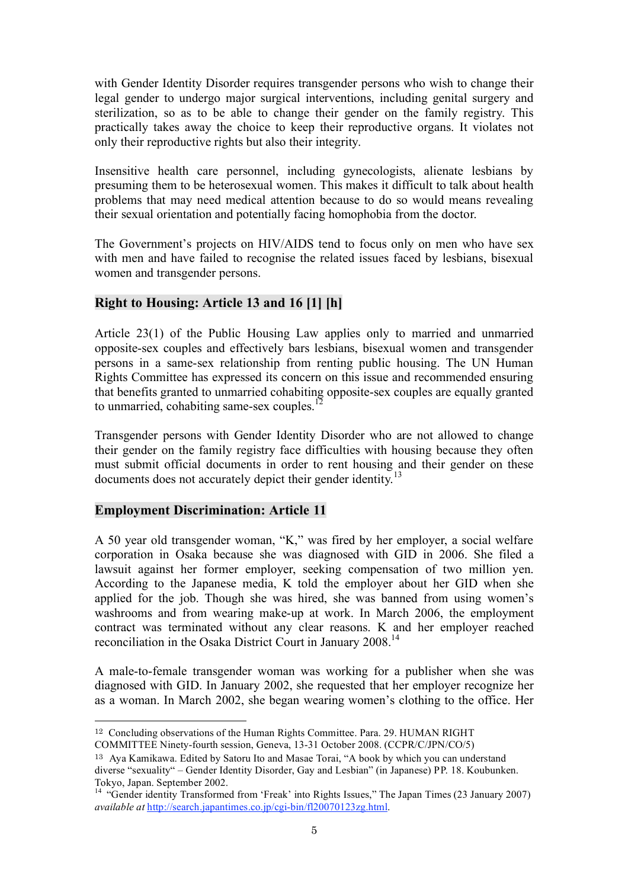with Gender Identity Disorder requires transgender persons who wish to change their legal gender to undergo major surgical interventions, including genital surgery and sterilization, so as to be able to change their gender on the family registry. This practically takes away the choice to keep their reproductive organs. It violates not only their reproductive rights but also their integrity.

Insensitive health care personnel, including gynecologists, alienate lesbians by presuming them to be heterosexual women. This makes it difficult to talk about health problems that may need medical attention because to do so would means revealing their sexual orientation and potentially facing homophobia from the doctor.

The Government's projects on HIV/AIDS tend to focus only on men who have sex with men and have failed to recognise the related issues faced by lesbians, bisexual women and transgender persons.

#### **Right to Housing: Article 13 and 16 [1] [h]**

Article 23(1) of the Public Housing Law applies only to married and unmarried opposite-sex couples and effectively bars lesbians, bisexual women and transgender persons in a same-sex relationship from renting public housing. The UN Human Rights Committee has expressed its concern on this issue and recommended ensuring that benefits granted to unmarried cohabiting opposite-sex couples are equally granted to unmarried, cohabiting same-sex couples.<sup>12</sup>

Transgender persons with Gender Identity Disorder who are not allowed to change their gender on the family registry face difficulties with housing because they often must submit official documents in order to rent housing and their gender on these documents does not accurately depict their gender identity.<sup>13</sup>

#### **Employment Discrimination: Article 11**

A 50 year old transgender woman, "K," was fired by her employer, a social welfare corporation in Osaka because she was diagnosed with GID in 2006. She filed a lawsuit against her former employer, seeking compensation of two million yen. According to the Japanese media, K told the employer about her GID when she applied for the job. Though she was hired, she was banned from using women's washrooms and from wearing make-up at work. In March 2006, the employment contract was terminated without any clear reasons. K and her employer reached reconciliation in the Osaka District Court in January 2008.<sup>14</sup>

A male-to-female transgender woman was working for a publisher when she was diagnosed with GID. In January 2002, she requested that her employer recognize her as a woman. In March 2002, she began wearing women's clothing to the office. Her

 <sup>12</sup> Concluding observations of the Human Rights Committee. Para. 29. HUMAN RIGHT COMMITTEE Ninety-fourth session, Geneva, 13-31 October 2008. (CCPR/C/JPN/CO/5)

<sup>13</sup> Aya Kamikawa. Edited by Satoru Ito and Masae Torai, "A book by which you can understand diverse "sexuality" – Gender Identity Disorder, Gay and Lesbian" (in Japanese) PP. 18. Koubunken.

Tokyo, Japan. September 2002. 14 "Gender identity Transformed from 'Freak' into Rights Issues," The Japan Times (23 January 2007) *available at* http://search.japantimes.co.jp/cgi-bin/fl20070123zg.html.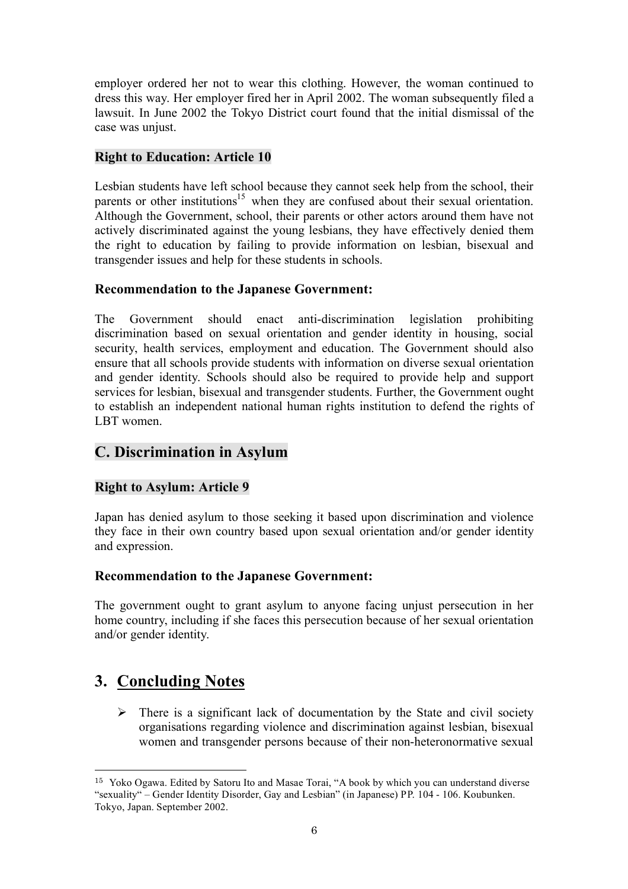employer ordered her not to wear this clothing. However, the woman continued to dress this way. Her employer fired her in April 2002. The woman subsequently filed a lawsuit. In June 2002 the Tokyo District court found that the initial dismissal of the case was unjust.

#### **Right to Education: Article 10**

Lesbian students have left school because they cannot seek help from the school, their parents or other institutions<sup>15</sup> when they are confused about their sexual orientation. Although the Government, school, their parents or other actors around them have not actively discriminated against the young lesbians, they have effectively denied them the right to education by failing to provide information on lesbian, bisexual and transgender issues and help for these students in schools.

#### **Recommendation to the Japanese Government:**

The Government should enact anti-discrimination legislation prohibiting discrimination based on sexual orientation and gender identity in housing, social security, health services, employment and education. The Government should also ensure that all schools provide students with information on diverse sexual orientation and gender identity. Schools should also be required to provide help and support services for lesbian, bisexual and transgender students. Further, the Government ought to establish an independent national human rights institution to defend the rights of LBT women.

## **C. Discrimination in Asylum**

### **Right to Asylum: Article 9**

Japan has denied asylum to those seeking it based upon discrimination and violence they face in their own country based upon sexual orientation and/or gender identity and expression.

#### **Recommendation to the Japanese Government:**

The government ought to grant asylum to anyone facing unjust persecution in her home country, including if she faces this persecution because of her sexual orientation and/or gender identity.

## **3. Concluding Notes**

 $\triangleright$  There is a significant lack of documentation by the State and civil society organisations regarding violence and discrimination against lesbian, bisexual women and transgender persons because of their non-heteronormative sexual

 <sup>15</sup> Yoko Ogawa. Edited by Satoru Ito and Masae Torai, "A book by which you can understand diverse "sexuality" – Gender Identity Disorder, Gay and Lesbian" (in Japanese) PP. 104 - 106. Koubunken. Tokyo, Japan. September 2002.